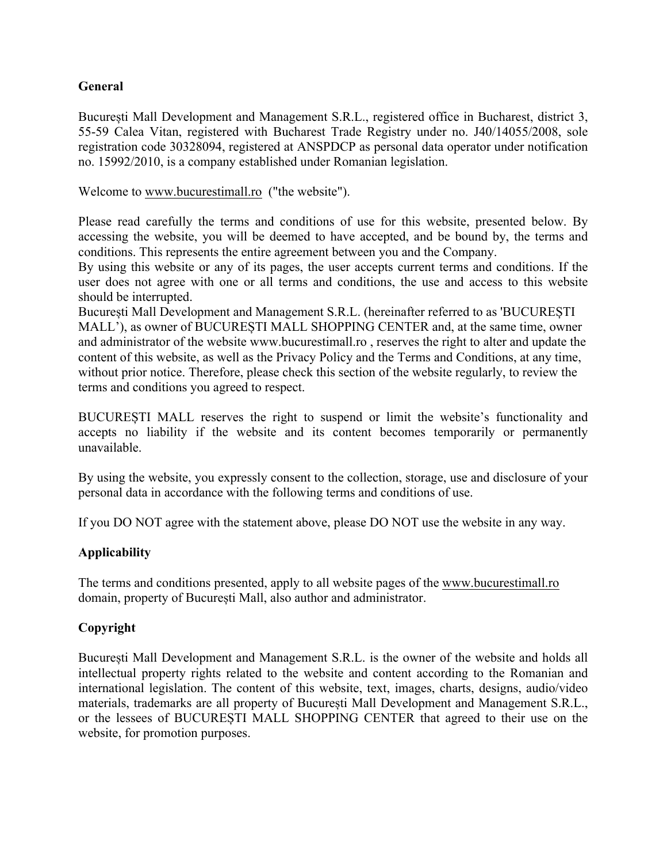# **General**

București Mall Development and Management S.R.L., registered office in Bucharest, district 3, 55-59 Calea Vitan, registered with Bucharest Trade Registry under no. J40/14055/2008, sole registration code 30328094, registered at ANSPDCP as personal data operator under notification no. 15992/2010, is a company established under Romanian legislation.

Welcome to www.bucurestimall.ro ("the website").

Please read carefully the terms and conditions of use for this website, presented below. By accessing the website, you will be deemed to have accepted, and be bound by, the terms and conditions. This represents the entire agreement between you and the Company.

By using this website or any of its pages, the user accepts current terms and conditions. If the user does not agree with one or all terms and conditions, the use and access to this website should be interrupted.

București Mall Development and Management S.R.L. (hereinafter referred to as 'BUCUREȘTI MALL'), as owner of BUCUREȘTI MALL SHOPPING CENTER and, at the same time, owner and administrator of the website www.bucurestimall.ro , reserves the right to alter and update the content of this website, as well as the Privacy Policy and the Terms and Conditions, at any time, without prior notice. Therefore, please check this section of the website regularly, to review the terms and conditions you agreed to respect.

BUCUREȘTI MALL reserves the right to suspend or limit the website's functionality and accepts no liability if the website and its content becomes temporarily or permanently unavailable.

By using the website, you expressly consent to the collection, storage, use and disclosure of your personal data in accordance with the following terms and conditions of use.

If you DO NOT agree with the statement above, please DO NOT use the website in any way.

# **Applicability**

The terms and conditions presented, apply to all website pages of the www.bucurestimall.ro domain, property of București Mall, also author and administrator.

# **Copyright**

București Mall Development and Management S.R.L. is the owner of the website and holds all intellectual property rights related to the website and content according to the Romanian and international legislation. The content of this website, text, images, charts, designs, audio/video materials, trademarks are all property of București Mall Development and Management S.R.L., or the lessees of BUCUREȘTI MALL SHOPPING CENTER that agreed to their use on the website, for promotion purposes.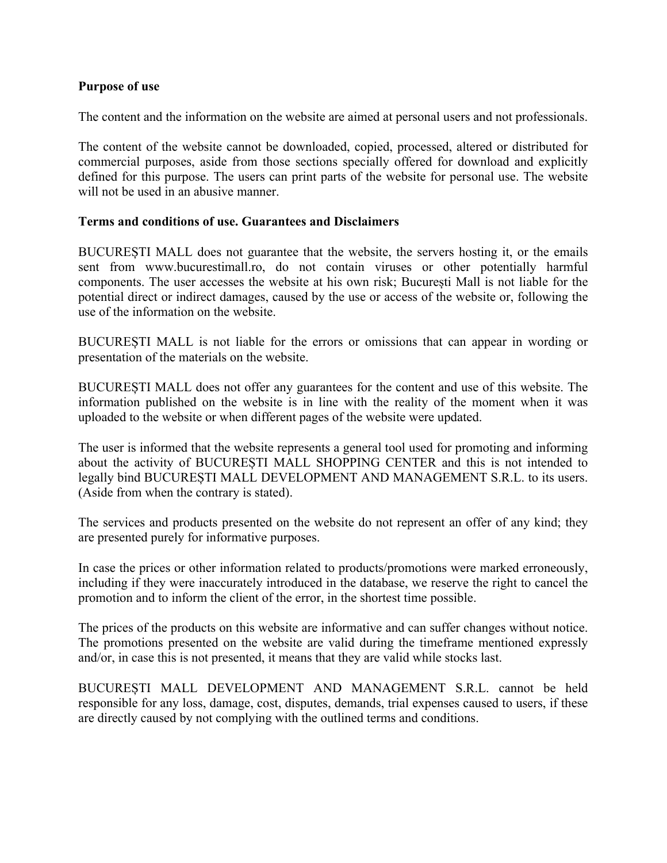### **Purpose of use**

The content and the information on the website are aimed at personal users and not professionals.

The content of the website cannot be downloaded, copied, processed, altered or distributed for commercial purposes, aside from those sections specially offered for download and explicitly defined for this purpose. The users can print parts of the website for personal use. The website will not be used in an abusive manner.

### **Terms and conditions of use. Guarantees and Disclaimers**

BUCUREȘTI MALL does not guarantee that the website, the servers hosting it, or the emails sent from www.bucurestimall.ro, do not contain viruses or other potentially harmful components. The user accesses the website at his own risk; București Mall is not liable for the potential direct or indirect damages, caused by the use or access of the website or, following the use of the information on the website.

BUCUREȘTI MALL is not liable for the errors or omissions that can appear in wording or presentation of the materials on the website.

BUCUREȘTI MALL does not offer any guarantees for the content and use of this website. The information published on the website is in line with the reality of the moment when it was uploaded to the website or when different pages of the website were updated.

The user is informed that the website represents a general tool used for promoting and informing about the activity of BUCUREȘTI MALL SHOPPING CENTER and this is not intended to legally bind BUCUREȘTI MALL DEVELOPMENT AND MANAGEMENT S.R.L. to its users. (Aside from when the contrary is stated).

The services and products presented on the website do not represent an offer of any kind; they are presented purely for informative purposes.

In case the prices or other information related to products/promotions were marked erroneously, including if they were inaccurately introduced in the database, we reserve the right to cancel the promotion and to inform the client of the error, in the shortest time possible.

The prices of the products on this website are informative and can suffer changes without notice. The promotions presented on the website are valid during the timeframe mentioned expressly and/or, in case this is not presented, it means that they are valid while stocks last.

BUCUREȘTI MALL DEVELOPMENT AND MANAGEMENT S.R.L. cannot be held responsible for any loss, damage, cost, disputes, demands, trial expenses caused to users, if these are directly caused by not complying with the outlined terms and conditions.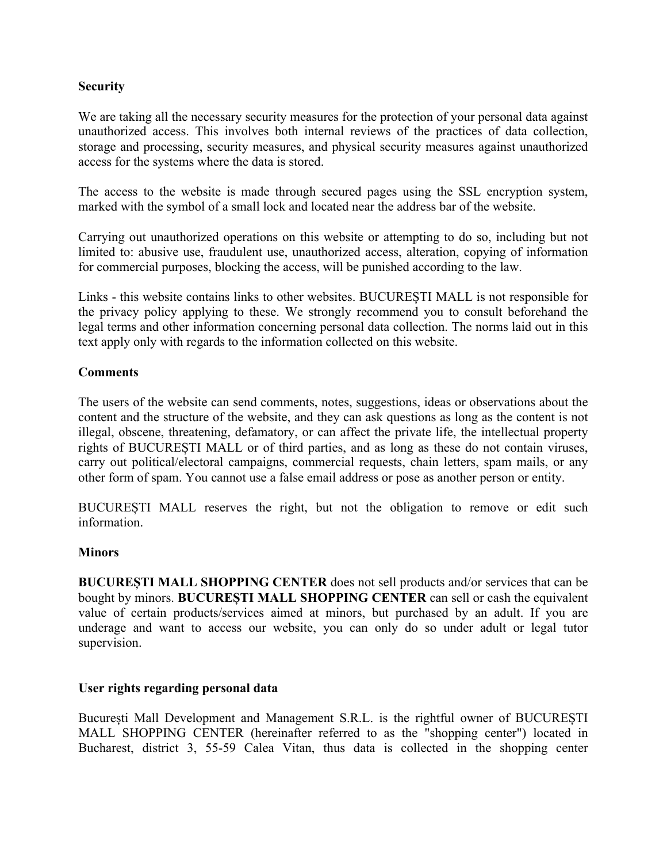## **Security**

We are taking all the necessary security measures for the protection of your personal data against unauthorized access. This involves both internal reviews of the practices of data collection, storage and processing, security measures, and physical security measures against unauthorized access for the systems where the data is stored.

The access to the website is made through secured pages using the SSL encryption system, marked with the symbol of a small lock and located near the address bar of the website.

Carrying out unauthorized operations on this website or attempting to do so, including but not limited to: abusive use, fraudulent use, unauthorized access, alteration, copying of information for commercial purposes, blocking the access, will be punished according to the law.

Links - this website contains links to other websites. BUCUREȘTI MALL is not responsible for the privacy policy applying to these. We strongly recommend you to consult beforehand the legal terms and other information concerning personal data collection. The norms laid out in this text apply only with regards to the information collected on this website.

### **Comments**

The users of the website can send comments, notes, suggestions, ideas or observations about the content and the structure of the website, and they can ask questions as long as the content is not illegal, obscene, threatening, defamatory, or can affect the private life, the intellectual property rights of BUCUREȘTI MALL or of third parties, and as long as these do not contain viruses, carry out political/electoral campaigns, commercial requests, chain letters, spam mails, or any other form of spam. You cannot use a false email address or pose as another person or entity.

BUCUREȘTI MALL reserves the right, but not the obligation to remove or edit such information.

### **Minors**

**BUCUREȘTI MALL SHOPPING CENTER** does not sell products and/or services that can be bought by minors. **BUCUREȘTI MALL SHOPPING CENTER** can sell or cash the equivalent value of certain products/services aimed at minors, but purchased by an adult. If you are underage and want to access our website, you can only do so under adult or legal tutor supervision.

### **User rights regarding personal data**

București Mall Development and Management S.R.L. is the rightful owner of BUCUREȘTI MALL SHOPPING CENTER (hereinafter referred to as the "shopping center") located in Bucharest, district 3, 55-59 Calea Vitan, thus data is collected in the shopping center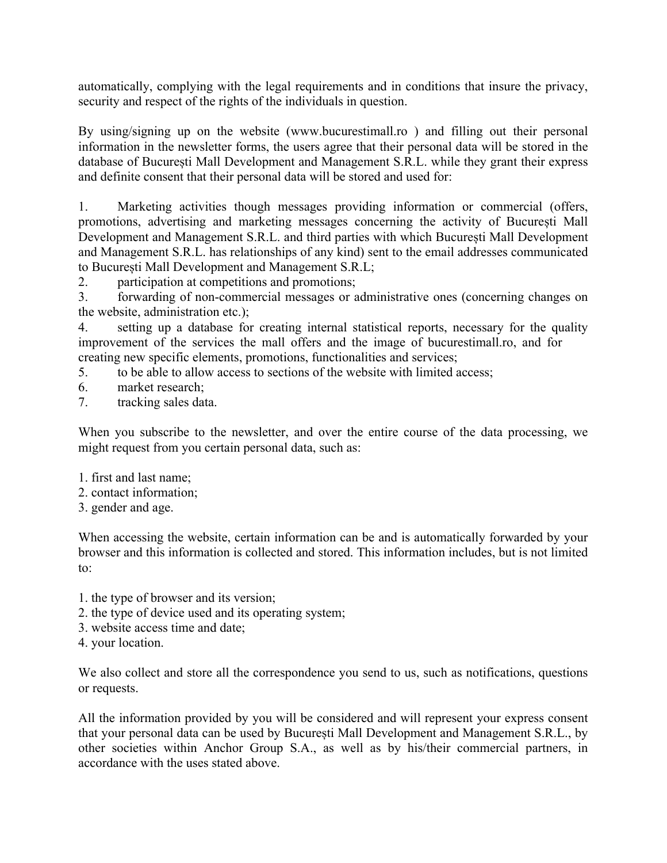automatically, complying with the legal requirements and in conditions that insure the privacy, security and respect of the rights of the individuals in question.

By using/signing up on the website (www.bucurestimall.ro ) and filling out their personal information in the newsletter forms, the users agree that their personal data will be stored in the database of București Mall Development and Management S.R.L. while they grant their express and definite consent that their personal data will be stored and used for:

1. Marketing activities though messages providing information or commercial (offers, promotions, advertising and marketing messages concerning the activity of Bucure ști Mall Development and Management S.R.L. and third parties with which București Mall Development and Management S.R.L. has relationships of any kind) sent to the email addresses communicated to București Mall Development and Management S.R.L;

2. participation at competitions and promotions;

3. forwarding of non-commercial messages or administrative ones (concerning changes on the website, administration etc.);

4. setting up a database for creating internal statistical reports, necessary for the quality improvement of the services the mall offers and the image of bucurestimall.ro, and for creating new specific elements, promotions, functionalities and services;

5. to be able to allow access to sections of the website with limited access;

- 6. market research;
- 7. tracking sales data.

When you subscribe to the newsletter, and over the entire course of the data processing, we might request from you certain personal data, such as:

- 1. first and last name;
- 2. contact information;
- 3. gender and age.

When accessing the website, certain information can be and is automatically forwarded by your browser and this information is collected and stored. This information includes, but is not limited to:

- 1. the type of browser and its version;
- 2. the type of device used and its operating system;
- 3. website access time and date;
- 4. your location.

We also collect and store all the correspondence you send to us, such as notifications, questions or requests.

All the information provided by you will be considered and will represent your express consent that your personal data can be used by București Mall Development and Management S.R.L., by other societies within Anchor Group S.A., as well as by his/their commercial partners, in accordance with the uses stated above.